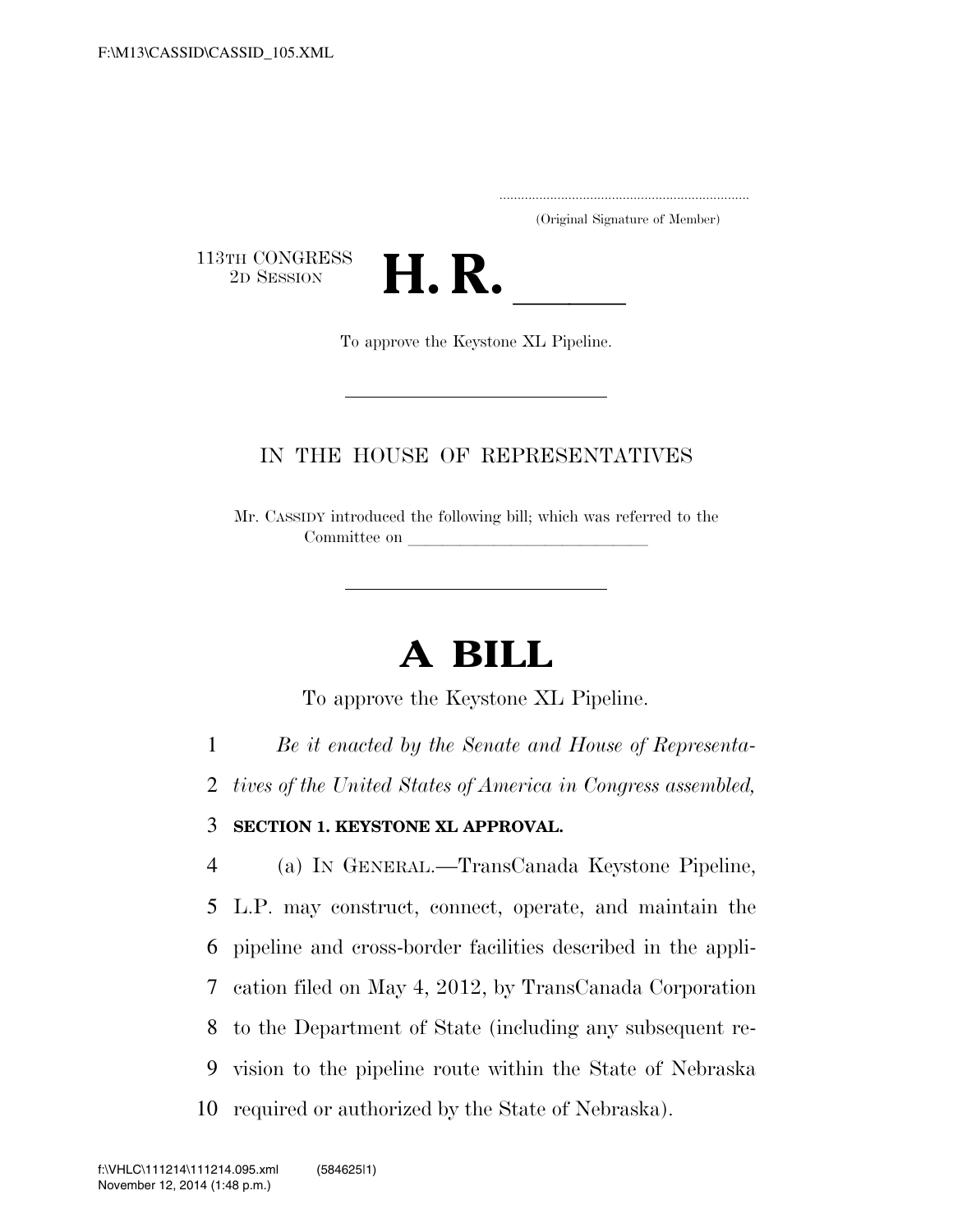.....................................................................

(Original Signature of Member)

113TH CONGRESS<br>2D SESSION



To approve the Keystone XL Pipeline.

## IN THE HOUSE OF REPRESENTATIVES

Mr. CASSIDY introduced the following bill; which was referred to the Committee on

## **A BILL**

To approve the Keystone XL Pipeline.

1 *Be it enacted by the Senate and House of Representa-*

2 *tives of the United States of America in Congress assembled,* 

## 3 **SECTION 1. KEYSTONE XL APPROVAL.**

 (a) IN GENERAL.—TransCanada Keystone Pipeline, L.P. may construct, connect, operate, and maintain the pipeline and cross-border facilities described in the appli- cation filed on May 4, 2012, by TransCanada Corporation to the Department of State (including any subsequent re- vision to the pipeline route within the State of Nebraska required or authorized by the State of Nebraska).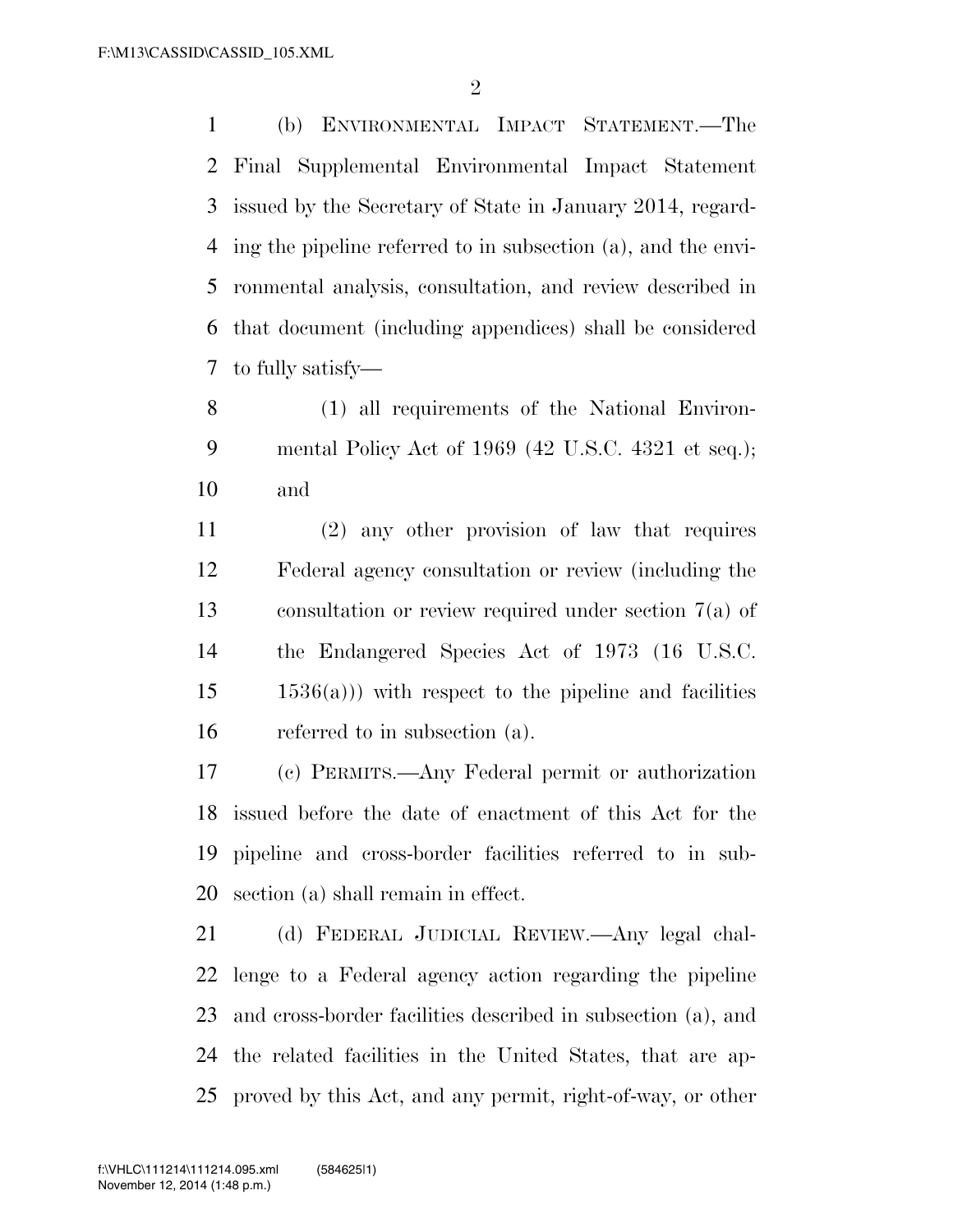(b) ENVIRONMENTAL IMPACT STATEMENT.—The Final Supplemental Environmental Impact Statement issued by the Secretary of State in January 2014, regard- ing the pipeline referred to in subsection (a), and the envi- ronmental analysis, consultation, and review described in that document (including appendices) shall be considered to fully satisfy—

 (1) all requirements of the National Environ- mental Policy Act of 1969 (42 U.S.C. 4321 et seq.); and

 (2) any other provision of law that requires Federal agency consultation or review (including the consultation or review required under section 7(a) of the Endangered Species Act of 1973 (16 U.S.C.  $15 \qquad 1536(a))$  with respect to the pipeline and facilities referred to in subsection (a).

 (c) PERMITS.—Any Federal permit or authorization issued before the date of enactment of this Act for the pipeline and cross-border facilities referred to in sub-section (a) shall remain in effect.

 (d) FEDERAL JUDICIAL REVIEW.—Any legal chal- lenge to a Federal agency action regarding the pipeline and cross-border facilities described in subsection (a), and the related facilities in the United States, that are ap-proved by this Act, and any permit, right-of-way, or other